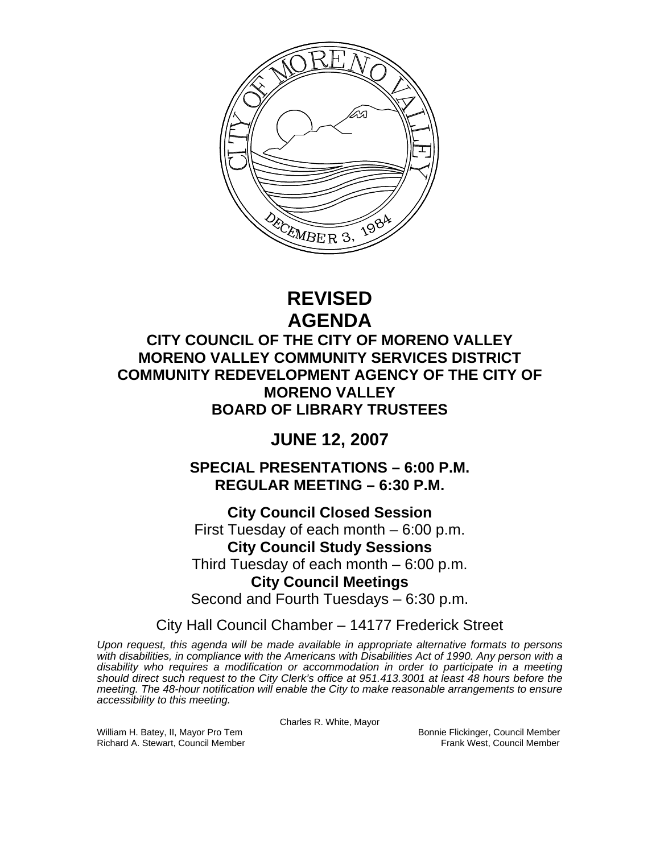

# **REVISED AGENDA**

## **CITY COUNCIL OF THE CITY OF MORENO VALLEY MORENO VALLEY COMMUNITY SERVICES DISTRICT COMMUNITY REDEVELOPMENT AGENCY OF THE CITY OF MORENO VALLEY BOARD OF LIBRARY TRUSTEES**

## **JUNE 12, 2007**

**SPECIAL PRESENTATIONS – 6:00 P.M. REGULAR MEETING – 6:30 P.M.** 

**City Council Closed Session**  First Tuesday of each month – 6:00 p.m. **City Council Study Sessions**  Third Tuesday of each month – 6:00 p.m. **City Council Meetings** 

Second and Fourth Tuesdays – 6:30 p.m.

City Hall Council Chamber – 14177 Frederick Street

*Upon request, this agenda will be made available in appropriate alternative formats to persons with disabilities, in compliance with the Americans with Disabilities Act of 1990. Any person with a disability who requires a modification or accommodation in order to participate in a meeting should direct such request to the City Clerk's office at 951.413.3001 at least 48 hours before the meeting. The 48-hour notification will enable the City to make reasonable arrangements to ensure accessibility to this meeting.* 

Charles R. White, Mayor

William H. Batey, II, Mayor Pro Tem Bonnie Flickinger, Council Member Richard A. Stewart, Council Member Frank West, Council Member Frank West, Council Member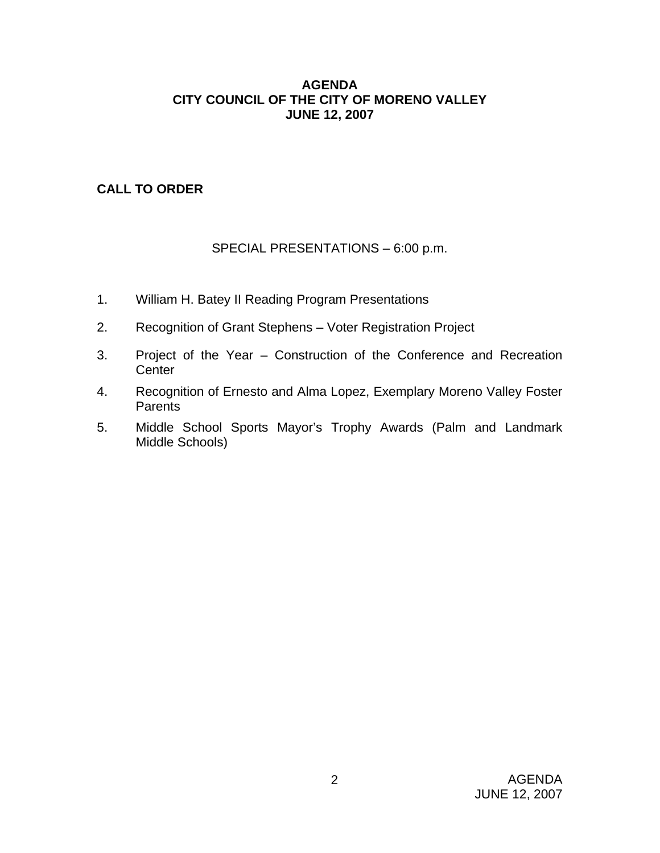## **AGENDA CITY COUNCIL OF THE CITY OF MORENO VALLEY JUNE 12, 2007**

## **CALL TO ORDER**

## SPECIAL PRESENTATIONS – 6:00 p.m.

- 1. William H. Batey II Reading Program Presentations
- 2. Recognition of Grant Stephens Voter Registration Project
- 3. Project of the Year Construction of the Conference and Recreation **Center**
- 4. Recognition of Ernesto and Alma Lopez, Exemplary Moreno Valley Foster **Parents**
- 5. Middle School Sports Mayor's Trophy Awards (Palm and Landmark Middle Schools)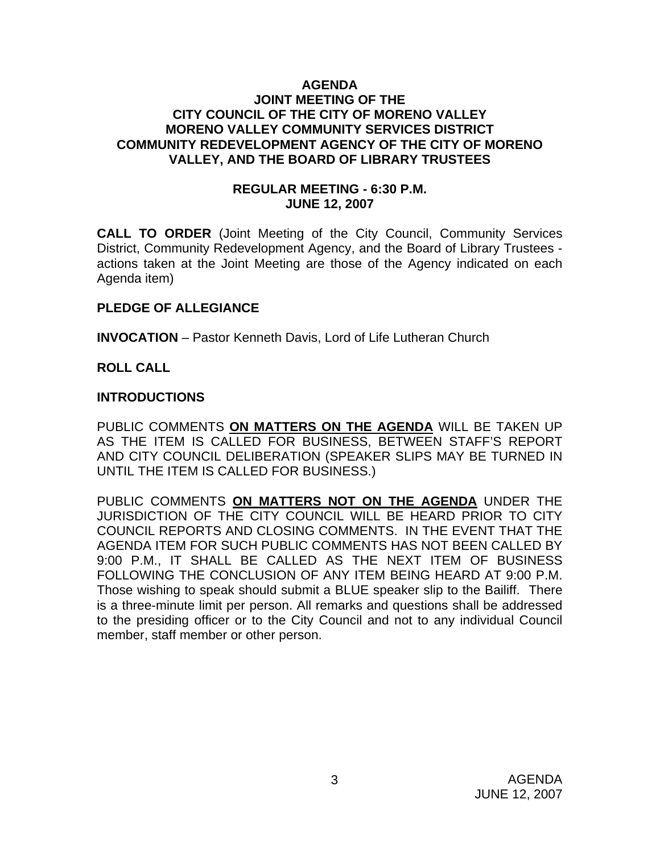#### **AGENDA JOINT MEETING OF THE CITY COUNCIL OF THE CITY OF MORENO VALLEY MORENO VALLEY COMMUNITY SERVICES DISTRICT COMMUNITY REDEVELOPMENT AGENCY OF THE CITY OF MORENO VALLEY, AND THE BOARD OF LIBRARY TRUSTEES**

## **REGULAR MEETING - 6:30 P.M. JUNE 12, 2007**

**CALL TO ORDER** (Joint Meeting of the City Council, Community Services District, Community Redevelopment Agency, and the Board of Library Trustees actions taken at the Joint Meeting are those of the Agency indicated on each Agenda item)

## **PLEDGE OF ALLEGIANCE**

**INVOCATION** – Pastor Kenneth Davis, Lord of Life Lutheran Church

## **ROLL CALL**

## **INTRODUCTIONS**

PUBLIC COMMENTS **ON MATTERS ON THE AGENDA** WILL BE TAKEN UP AS THE ITEM IS CALLED FOR BUSINESS, BETWEEN STAFF'S REPORT AND CITY COUNCIL DELIBERATION (SPEAKER SLIPS MAY BE TURNED IN UNTIL THE ITEM IS CALLED FOR BUSINESS.)

PUBLIC COMMENTS **ON MATTERS NOT ON THE AGENDA** UNDER THE JURISDICTION OF THE CITY COUNCIL WILL BE HEARD PRIOR TO CITY COUNCIL REPORTS AND CLOSING COMMENTS. IN THE EVENT THAT THE AGENDA ITEM FOR SUCH PUBLIC COMMENTS HAS NOT BEEN CALLED BY 9:00 P.M., IT SHALL BE CALLED AS THE NEXT ITEM OF BUSINESS FOLLOWING THE CONCLUSION OF ANY ITEM BEING HEARD AT 9:00 P.M. Those wishing to speak should submit a BLUE speaker slip to the Bailiff. There is a three-minute limit per person. All remarks and questions shall be addressed to the presiding officer or to the City Council and not to any individual Council member, staff member or other person.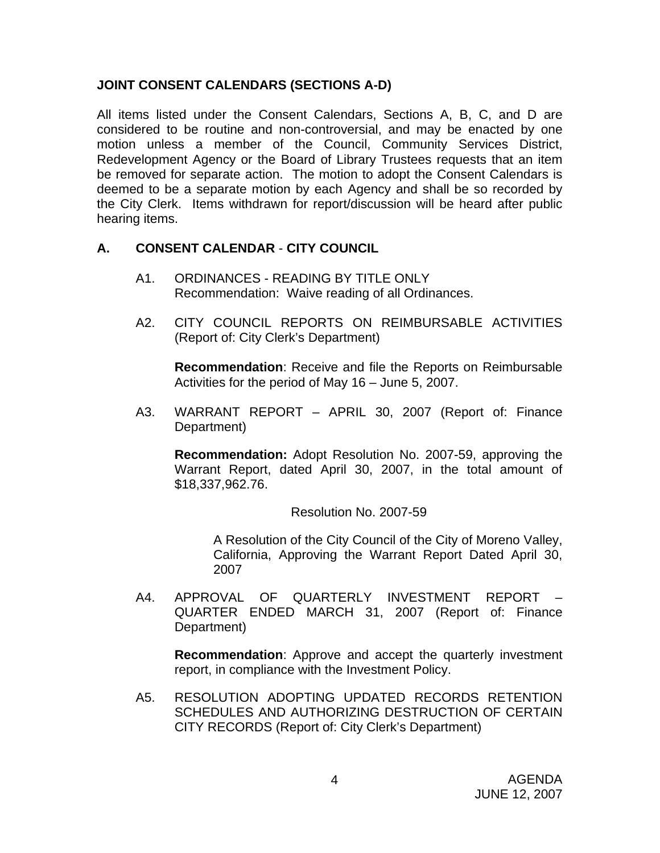## **JOINT CONSENT CALENDARS (SECTIONS A-D)**

All items listed under the Consent Calendars, Sections A, B, C, and D are considered to be routine and non-controversial, and may be enacted by one motion unless a member of the Council, Community Services District, Redevelopment Agency or the Board of Library Trustees requests that an item be removed for separate action. The motion to adopt the Consent Calendars is deemed to be a separate motion by each Agency and shall be so recorded by the City Clerk. Items withdrawn for report/discussion will be heard after public hearing items.

## **A. CONSENT CALENDAR** - **CITY COUNCIL**

- A1. ORDINANCES READING BY TITLE ONLY Recommendation: Waive reading of all Ordinances.
- A2. CITY COUNCIL REPORTS ON REIMBURSABLE ACTIVITIES (Report of: City Clerk's Department)

**Recommendation**: Receive and file the Reports on Reimbursable Activities for the period of May 16 – June 5, 2007.

A3. WARRANT REPORT – APRIL 30, 2007 (Report of: Finance Department)

**Recommendation:** Adopt Resolution No. 2007-59, approving the Warrant Report, dated April 30, 2007, in the total amount of \$18,337,962.76.

Resolution No. 2007-59

 A Resolution of the City Council of the City of Moreno Valley, California, Approving the Warrant Report Dated April 30, 2007

A4. APPROVAL OF QUARTERLY INVESTMENT REPORT – QUARTER ENDED MARCH 31, 2007 (Report of: Finance Department)

**Recommendation**: Approve and accept the quarterly investment report, in compliance with the Investment Policy.

A5. RESOLUTION ADOPTING UPDATED RECORDS RETENTION SCHEDULES AND AUTHORIZING DESTRUCTION OF CERTAIN CITY RECORDS (Report of: City Clerk's Department)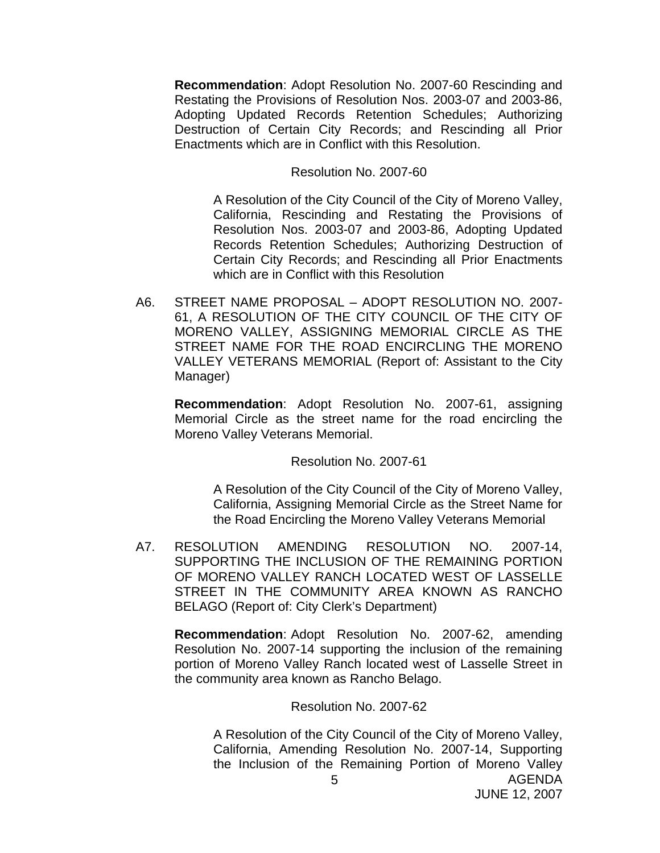**Recommendation**: Adopt Resolution No. 2007-60 Rescinding and Restating the Provisions of Resolution Nos. 2003-07 and 2003-86, Adopting Updated Records Retention Schedules; Authorizing Destruction of Certain City Records; and Rescinding all Prior Enactments which are in Conflict with this Resolution.

#### Resolution No. 2007-60

 A Resolution of the City Council of the City of Moreno Valley, California, Rescinding and Restating the Provisions of Resolution Nos. 2003-07 and 2003-86, Adopting Updated Records Retention Schedules; Authorizing Destruction of Certain City Records; and Rescinding all Prior Enactments which are in Conflict with this Resolution

A6. STREET NAME PROPOSAL – ADOPT RESOLUTION NO. 2007- 61, A RESOLUTION OF THE CITY COUNCIL OF THE CITY OF MORENO VALLEY, ASSIGNING MEMORIAL CIRCLE AS THE STREET NAME FOR THE ROAD ENCIRCLING THE MORENO VALLEY VETERANS MEMORIAL (Report of: Assistant to the City Manager)

**Recommendation**: Adopt Resolution No. 2007-61, assigning Memorial Circle as the street name for the road encircling the Moreno Valley Veterans Memorial.

Resolution No. 2007-61

 A Resolution of the City Council of the City of Moreno Valley, California, Assigning Memorial Circle as the Street Name for the Road Encircling the Moreno Valley Veterans Memorial

A7. RESOLUTION AMENDING RESOLUTION NO. 2007-14, SUPPORTING THE INCLUSION OF THE REMAINING PORTION OF MORENO VALLEY RANCH LOCATED WEST OF LASSELLE STREET IN THE COMMUNITY AREA KNOWN AS RANCHO BELAGO (Report of: City Clerk's Department)

**Recommendation**: Adopt Resolution No. 2007-62, amending Resolution No. 2007-14 supporting the inclusion of the remaining portion of Moreno Valley Ranch located west of Lasselle Street in the community area known as Rancho Belago.

Resolution No. 2007-62

AGENDA 5 A Resolution of the City Council of the City of Moreno Valley, California, Amending Resolution No. 2007-14, Supporting the Inclusion of the Remaining Portion of Moreno Valley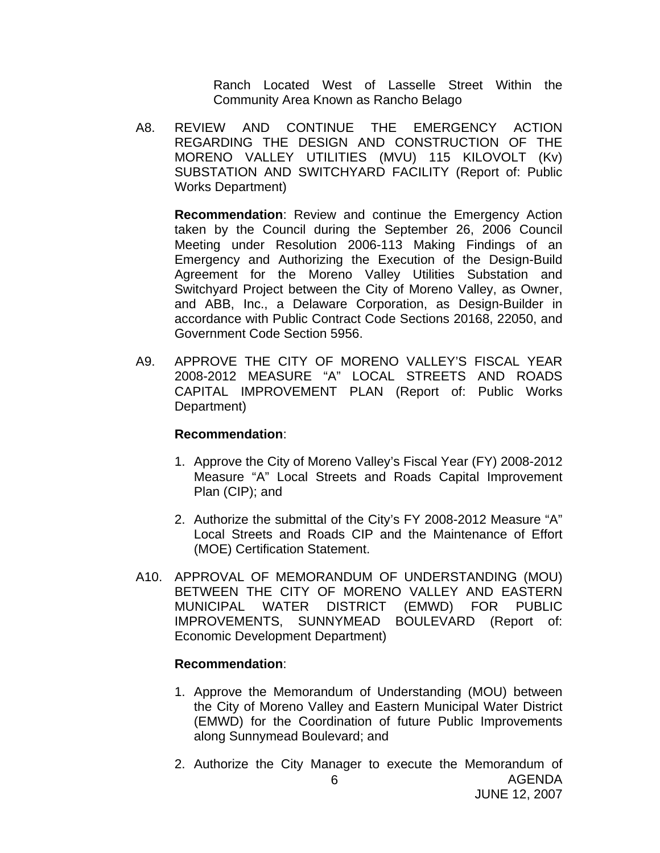Ranch Located West of Lasselle Street Within the Community Area Known as Rancho Belago

A8. REVIEW AND CONTINUE THE EMERGENCY ACTION REGARDING THE DESIGN AND CONSTRUCTION OF THE MORENO VALLEY UTILITIES (MVU) 115 KILOVOLT (Kv) SUBSTATION AND SWITCHYARD FACILITY (Report of: Public Works Department)

**Recommendation**: Review and continue the Emergency Action taken by the Council during the September 26, 2006 Council Meeting under Resolution 2006-113 Making Findings of an Emergency and Authorizing the Execution of the Design-Build Agreement for the Moreno Valley Utilities Substation and Switchyard Project between the City of Moreno Valley, as Owner, and ABB, Inc., a Delaware Corporation, as Design-Builder in accordance with Public Contract Code Sections 20168, 22050, and Government Code Section 5956.

A9. APPROVE THE CITY OF MORENO VALLEY'S FISCAL YEAR 2008-2012 MEASURE "A" LOCAL STREETS AND ROADS CAPITAL IMPROVEMENT PLAN (Report of: Public Works Department)

## **Recommendation**:

- 1. Approve the City of Moreno Valley's Fiscal Year (FY) 2008-2012 Measure "A" Local Streets and Roads Capital Improvement Plan (CIP); and
- 2. Authorize the submittal of the City's FY 2008-2012 Measure "A" Local Streets and Roads CIP and the Maintenance of Effort (MOE) Certification Statement.
- A10. APPROVAL OF MEMORANDUM OF UNDERSTANDING (MOU) BETWEEN THE CITY OF MORENO VALLEY AND EASTERN MUNICIPAL WATER DISTRICT (EMWD) FOR PUBLIC IMPROVEMENTS, SUNNYMEAD BOULEVARD (Report of: Economic Development Department)

- 1. Approve the Memorandum of Understanding (MOU) between the City of Moreno Valley and Eastern Municipal Water District (EMWD) for the Coordination of future Public Improvements along Sunnymead Boulevard; and
- AGENDA JUNE 12, 2007 6 2. Authorize the City Manager to execute the Memorandum of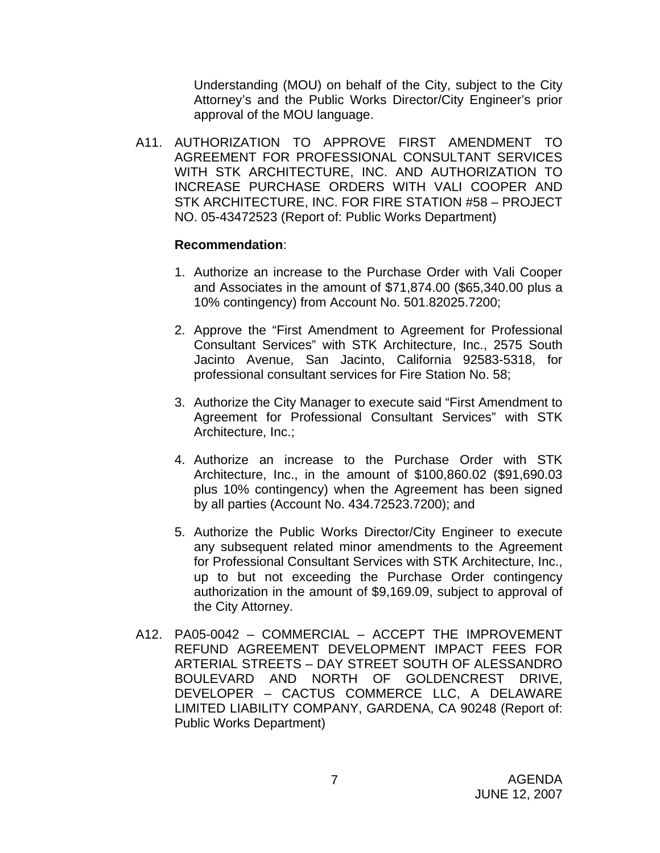Understanding (MOU) on behalf of the City, subject to the City Attorney's and the Public Works Director/City Engineer's prior approval of the MOU language.

A11. AUTHORIZATION TO APPROVE FIRST AMENDMENT TO AGREEMENT FOR PROFESSIONAL CONSULTANT SERVICES WITH STK ARCHITECTURE, INC. AND AUTHORIZATION TO INCREASE PURCHASE ORDERS WITH VALI COOPER AND STK ARCHITECTURE, INC. FOR FIRE STATION #58 – PROJECT NO. 05-43472523 (Report of: Public Works Department)

- 1. Authorize an increase to the Purchase Order with Vali Cooper and Associates in the amount of \$71,874.00 (\$65,340.00 plus a 10% contingency) from Account No. 501.82025.7200;
- 2. Approve the "First Amendment to Agreement for Professional Consultant Services" with STK Architecture, Inc., 2575 South Jacinto Avenue, San Jacinto, California 92583-5318, for professional consultant services for Fire Station No. 58;
- 3. Authorize the City Manager to execute said "First Amendment to Agreement for Professional Consultant Services" with STK Architecture, Inc.;
- 4. Authorize an increase to the Purchase Order with STK Architecture, Inc., in the amount of \$100,860.02 (\$91,690.03 plus 10% contingency) when the Agreement has been signed by all parties (Account No. 434.72523.7200); and
- 5. Authorize the Public Works Director/City Engineer to execute any subsequent related minor amendments to the Agreement for Professional Consultant Services with STK Architecture, Inc., up to but not exceeding the Purchase Order contingency authorization in the amount of \$9,169.09, subject to approval of the City Attorney.
- A12. PA05-0042 COMMERCIAL ACCEPT THE IMPROVEMENT REFUND AGREEMENT DEVELOPMENT IMPACT FEES FOR ARTERIAL STREETS – DAY STREET SOUTH OF ALESSANDRO BOULEVARD AND NORTH OF GOLDENCREST DRIVE, DEVELOPER – CACTUS COMMERCE LLC, A DELAWARE LIMITED LIABILITY COMPANY, GARDENA, CA 90248 (Report of: Public Works Department)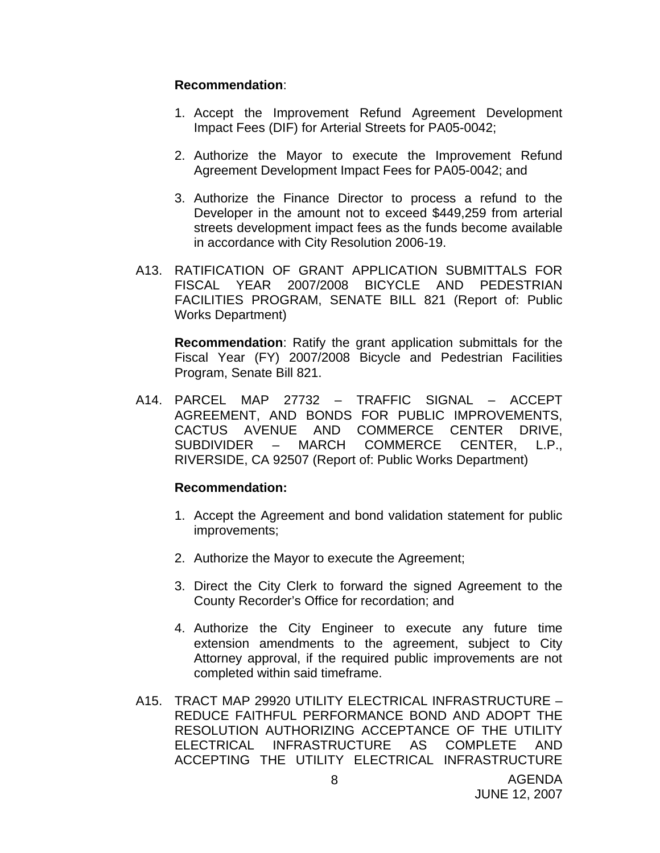#### **Recommendation**:

- 1. Accept the Improvement Refund Agreement Development Impact Fees (DIF) for Arterial Streets for PA05-0042;
- 2. Authorize the Mayor to execute the Improvement Refund Agreement Development Impact Fees for PA05-0042; and
- 3. Authorize the Finance Director to process a refund to the Developer in the amount not to exceed \$449,259 from arterial streets development impact fees as the funds become available in accordance with City Resolution 2006-19.
- A13. RATIFICATION OF GRANT APPLICATION SUBMITTALS FOR FISCAL YEAR 2007/2008 BICYCLE AND PEDESTRIAN FACILITIES PROGRAM, SENATE BILL 821 (Report of: Public Works Department)

**Recommendation**: Ratify the grant application submittals for the Fiscal Year (FY) 2007/2008 Bicycle and Pedestrian Facilities Program, Senate Bill 821.

A14. PARCEL MAP 27732 – TRAFFIC SIGNAL – ACCEPT AGREEMENT, AND BONDS FOR PUBLIC IMPROVEMENTS, CACTUS AVENUE AND COMMERCE CENTER DRIVE, SUBDIVIDER – MARCH COMMERCE CENTER, L.P., RIVERSIDE, CA 92507 (Report of: Public Works Department)

- 1. Accept the Agreement and bond validation statement for public improvements;
- 2. Authorize the Mayor to execute the Agreement;
- 3. Direct the City Clerk to forward the signed Agreement to the County Recorder's Office for recordation; and
- 4. Authorize the City Engineer to execute any future time extension amendments to the agreement, subject to City Attorney approval, if the required public improvements are not completed within said timeframe.
- A15. TRACT MAP 29920 UTILITY ELECTRICAL INFRASTRUCTURE REDUCE FAITHFUL PERFORMANCE BOND AND ADOPT THE RESOLUTION AUTHORIZING ACCEPTANCE OF THE UTILITY ELECTRICAL INFRASTRUCTURE AS COMPLETE AND ACCEPTING THE UTILITY ELECTRICAL INFRASTRUCTURE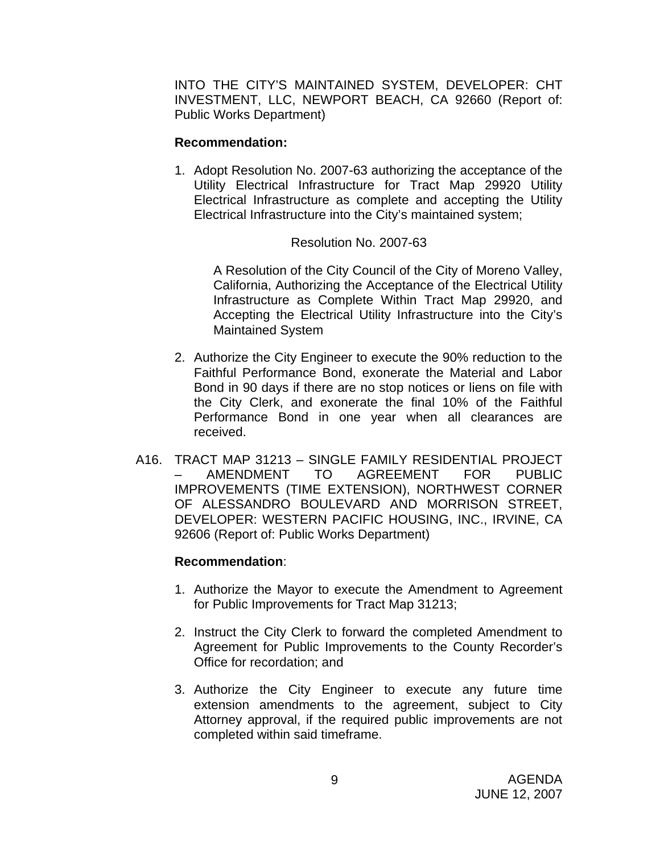INTO THE CITY'S MAINTAINED SYSTEM, DEVELOPER: CHT INVESTMENT, LLC, NEWPORT BEACH, CA 92660 (Report of: Public Works Department)

#### **Recommendation:**

1. Adopt Resolution No. 2007-63 authorizing the acceptance of the Utility Electrical Infrastructure for Tract Map 29920 Utility Electrical Infrastructure as complete and accepting the Utility Electrical Infrastructure into the City's maintained system;

## Resolution No. 2007-63

 A Resolution of the City Council of the City of Moreno Valley, California, Authorizing the Acceptance of the Electrical Utility Infrastructure as Complete Within Tract Map 29920, and Accepting the Electrical Utility Infrastructure into the City's Maintained System

- 2. Authorize the City Engineer to execute the 90% reduction to the Faithful Performance Bond, exonerate the Material and Labor Bond in 90 days if there are no stop notices or liens on file with the City Clerk, and exonerate the final 10% of the Faithful Performance Bond in one year when all clearances are received.
- A16. TRACT MAP 31213 SINGLE FAMILY RESIDENTIAL PROJECT – AMENDMENT TO AGREEMENT FOR PUBLIC IMPROVEMENTS (TIME EXTENSION), NORTHWEST CORNER OF ALESSANDRO BOULEVARD AND MORRISON STREET, DEVELOPER: WESTERN PACIFIC HOUSING, INC., IRVINE, CA 92606 (Report of: Public Works Department)

- 1. Authorize the Mayor to execute the Amendment to Agreement for Public Improvements for Tract Map 31213;
- 2. Instruct the City Clerk to forward the completed Amendment to Agreement for Public Improvements to the County Recorder's Office for recordation; and
- 3. Authorize the City Engineer to execute any future time extension amendments to the agreement, subject to City Attorney approval, if the required public improvements are not completed within said timeframe.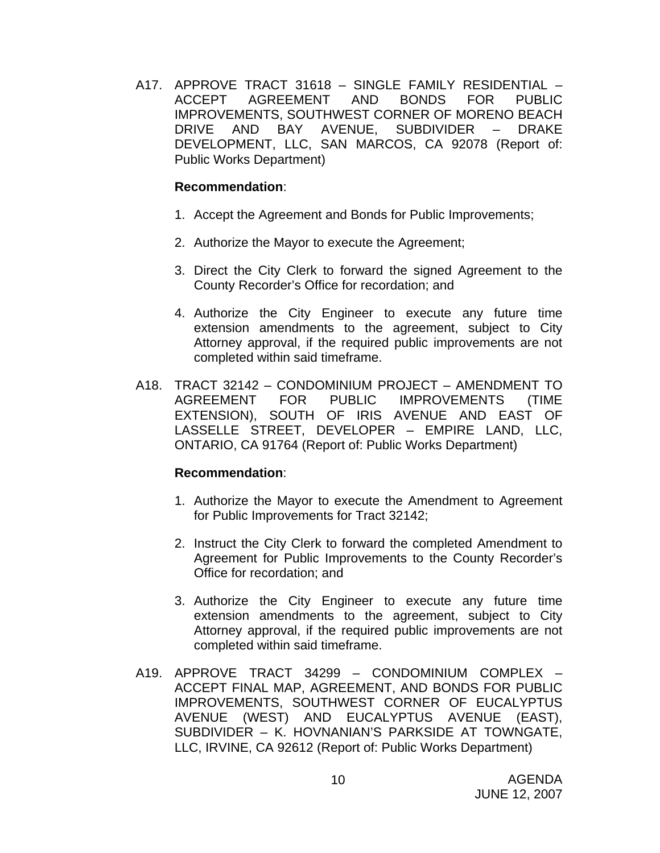A17. APPROVE TRACT 31618 – SINGLE FAMILY RESIDENTIAL – ACCEPT AGREEMENT AND BONDS FOR PUBLIC IMPROVEMENTS, SOUTHWEST CORNER OF MORENO BEACH DRIVE AND BAY AVENUE, SUBDIVIDER – DRAKE DEVELOPMENT, LLC, SAN MARCOS, CA 92078 (Report of: Public Works Department)

## **Recommendation**:

- 1. Accept the Agreement and Bonds for Public Improvements;
- 2. Authorize the Mayor to execute the Agreement;
- 3. Direct the City Clerk to forward the signed Agreement to the County Recorder's Office for recordation; and
- 4. Authorize the City Engineer to execute any future time extension amendments to the agreement, subject to City Attorney approval, if the required public improvements are not completed within said timeframe.
- A18. TRACT 32142 CONDOMINIUM PROJECT AMENDMENT TO AGREEMENT FOR PUBLIC IMPROVEMENTS (TIME EXTENSION), SOUTH OF IRIS AVENUE AND EAST OF LASSELLE STREET, DEVELOPER – EMPIRE LAND, LLC, ONTARIO, CA 91764 (Report of: Public Works Department)

- 1. Authorize the Mayor to execute the Amendment to Agreement for Public Improvements for Tract 32142;
- 2. Instruct the City Clerk to forward the completed Amendment to Agreement for Public Improvements to the County Recorder's Office for recordation; and
- 3. Authorize the City Engineer to execute any future time extension amendments to the agreement, subject to City Attorney approval, if the required public improvements are not completed within said timeframe.
- A19. APPROVE TRACT 34299 CONDOMINIUM COMPLEX ACCEPT FINAL MAP, AGREEMENT, AND BONDS FOR PUBLIC IMPROVEMENTS, SOUTHWEST CORNER OF EUCALYPTUS AVENUE (WEST) AND EUCALYPTUS AVENUE (EAST), SUBDIVIDER – K. HOVNANIAN'S PARKSIDE AT TOWNGATE, LLC, IRVINE, CA 92612 (Report of: Public Works Department)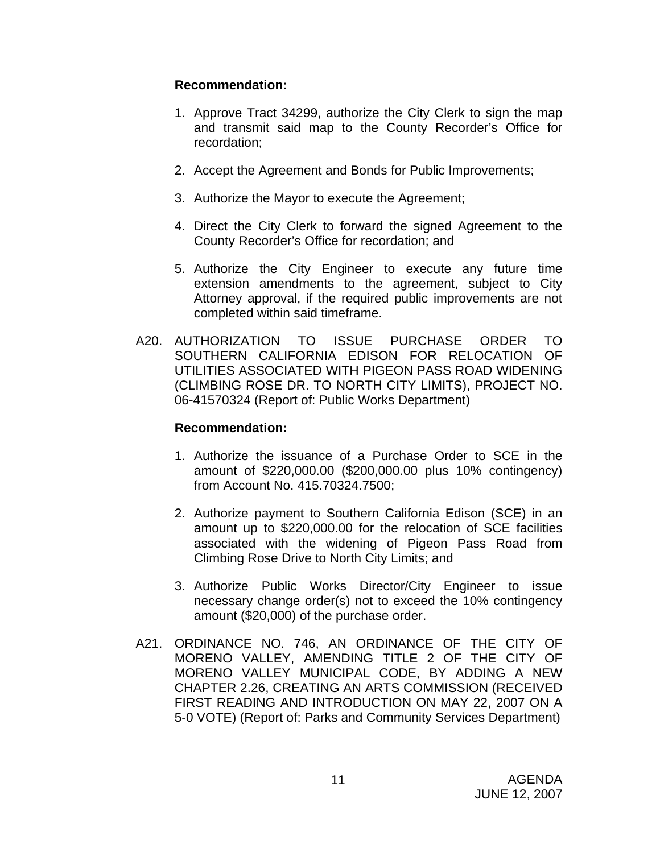## **Recommendation:**

- 1. Approve Tract 34299, authorize the City Clerk to sign the map and transmit said map to the County Recorder's Office for recordation;
- 2. Accept the Agreement and Bonds for Public Improvements;
- 3. Authorize the Mayor to execute the Agreement;
- 4. Direct the City Clerk to forward the signed Agreement to the County Recorder's Office for recordation; and
- 5. Authorize the City Engineer to execute any future time extension amendments to the agreement, subject to City Attorney approval, if the required public improvements are not completed within said timeframe.
- A20. AUTHORIZATION TO ISSUE PURCHASE ORDER TO SOUTHERN CALIFORNIA EDISON FOR RELOCATION OF UTILITIES ASSOCIATED WITH PIGEON PASS ROAD WIDENING (CLIMBING ROSE DR. TO NORTH CITY LIMITS), PROJECT NO. 06-41570324 (Report of: Public Works Department)

- 1. Authorize the issuance of a Purchase Order to SCE in the amount of \$220,000.00 (\$200,000.00 plus 10% contingency) from Account No. 415.70324.7500;
- 2. Authorize payment to Southern California Edison (SCE) in an amount up to \$220,000.00 for the relocation of SCE facilities associated with the widening of Pigeon Pass Road from Climbing Rose Drive to North City Limits; and
- 3. Authorize Public Works Director/City Engineer to issue necessary change order(s) not to exceed the 10% contingency amount (\$20,000) of the purchase order.
- A21. ORDINANCE NO. 746, AN ORDINANCE OF THE CITY OF MORENO VALLEY, AMENDING TITLE 2 OF THE CITY OF MORENO VALLEY MUNICIPAL CODE, BY ADDING A NEW CHAPTER 2.26, CREATING AN ARTS COMMISSION (RECEIVED FIRST READING AND INTRODUCTION ON MAY 22, 2007 ON A 5-0 VOTE) (Report of: Parks and Community Services Department)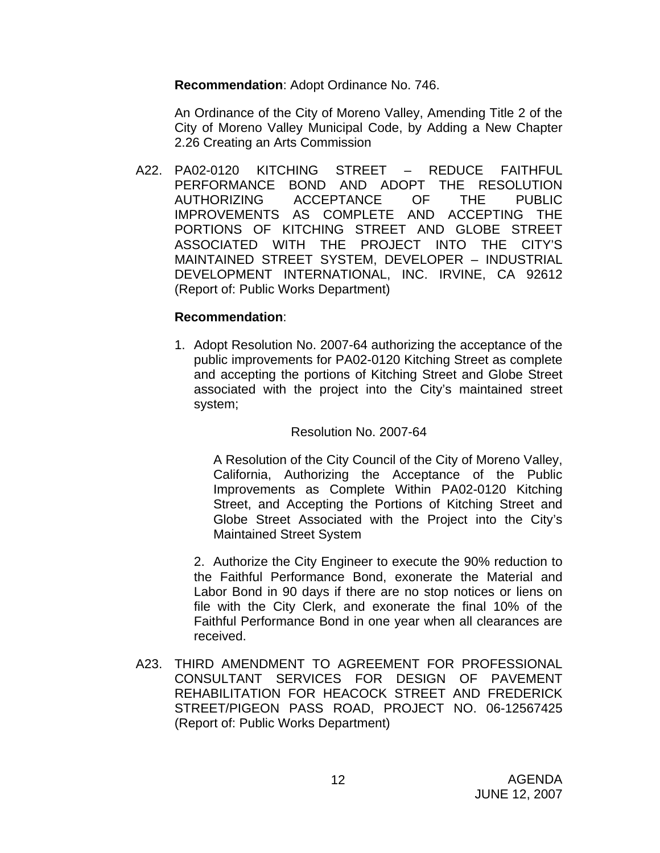**Recommendation**: Adopt Ordinance No. 746.

 An Ordinance of the City of Moreno Valley, Amending Title 2 of the City of Moreno Valley Municipal Code, by Adding a New Chapter 2.26 Creating an Arts Commission

A22. PA02-0120 KITCHING STREET – REDUCE FAITHFUL PERFORMANCE BOND AND ADOPT THE RESOLUTION AUTHORIZING ACCEPTANCE OF THE PUBLIC IMPROVEMENTS AS COMPLETE AND ACCEPTING THE PORTIONS OF KITCHING STREET AND GLOBE STREET ASSOCIATED WITH THE PROJECT INTO THE CITY'S MAINTAINED STREET SYSTEM, DEVELOPER – INDUSTRIAL DEVELOPMENT INTERNATIONAL, INC. IRVINE, CA 92612 (Report of: Public Works Department)

## **Recommendation**:

1. Adopt Resolution No. 2007-64 authorizing the acceptance of the public improvements for PA02-0120 Kitching Street as complete and accepting the portions of Kitching Street and Globe Street associated with the project into the City's maintained street system;

## Resolution No. 2007-64

 A Resolution of the City Council of the City of Moreno Valley, California, Authorizing the Acceptance of the Public Improvements as Complete Within PA02-0120 Kitching Street, and Accepting the Portions of Kitching Street and Globe Street Associated with the Project into the City's Maintained Street System

 2. Authorize the City Engineer to execute the 90% reduction to the Faithful Performance Bond, exonerate the Material and Labor Bond in 90 days if there are no stop notices or liens on file with the City Clerk, and exonerate the final 10% of the Faithful Performance Bond in one year when all clearances are received.

A23. THIRD AMENDMENT TO AGREEMENT FOR PROFESSIONAL CONSULTANT SERVICES FOR DESIGN OF PAVEMENT REHABILITATION FOR HEACOCK STREET AND FREDERICK STREET/PIGEON PASS ROAD, PROJECT NO. 06-12567425 (Report of: Public Works Department)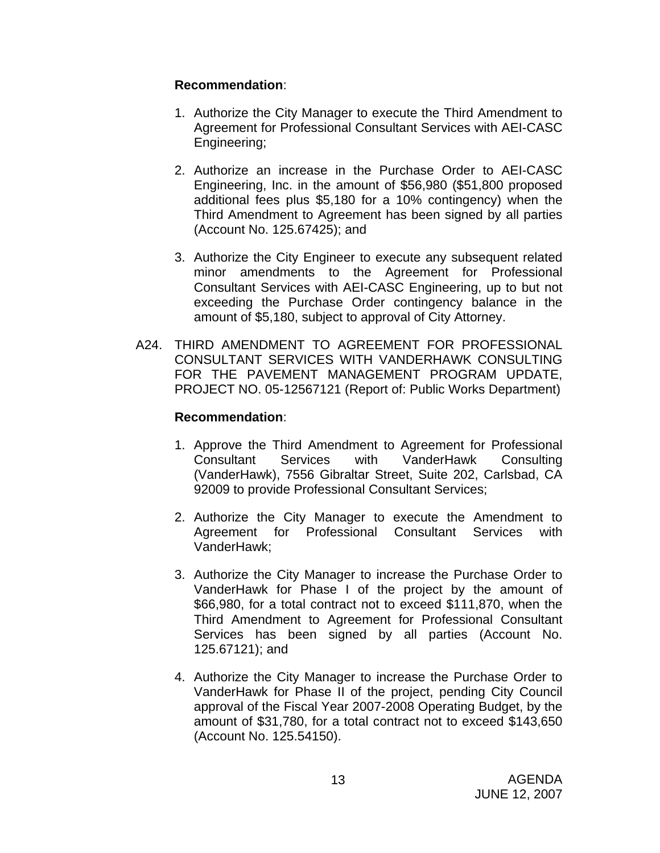## **Recommendation**:

- 1. Authorize the City Manager to execute the Third Amendment to Agreement for Professional Consultant Services with AEI-CASC Engineering;
- 2. Authorize an increase in the Purchase Order to AEI-CASC Engineering, Inc. in the amount of \$56,980 (\$51,800 proposed additional fees plus \$5,180 for a 10% contingency) when the Third Amendment to Agreement has been signed by all parties (Account No. 125.67425); and
- 3. Authorize the City Engineer to execute any subsequent related minor amendments to the Agreement for Professional Consultant Services with AEI-CASC Engineering, up to but not exceeding the Purchase Order contingency balance in the amount of \$5,180, subject to approval of City Attorney.
- A24. THIRD AMENDMENT TO AGREEMENT FOR PROFESSIONAL CONSULTANT SERVICES WITH VANDERHAWK CONSULTING FOR THE PAVEMENT MANAGEMENT PROGRAM UPDATE, PROJECT NO. 05-12567121 (Report of: Public Works Department)

- 1. Approve the Third Amendment to Agreement for Professional Consultant Services with VanderHawk Consulting (VanderHawk), 7556 Gibraltar Street, Suite 202, Carlsbad, CA 92009 to provide Professional Consultant Services;
- 2. Authorize the City Manager to execute the Amendment to Agreement for Professional Consultant Services with VanderHawk;
- 3. Authorize the City Manager to increase the Purchase Order to VanderHawk for Phase I of the project by the amount of \$66,980, for a total contract not to exceed \$111,870, when the Third Amendment to Agreement for Professional Consultant Services has been signed by all parties (Account No. 125.67121); and
- 4. Authorize the City Manager to increase the Purchase Order to VanderHawk for Phase II of the project, pending City Council approval of the Fiscal Year 2007-2008 Operating Budget, by the amount of \$31,780, for a total contract not to exceed \$143,650 (Account No. 125.54150).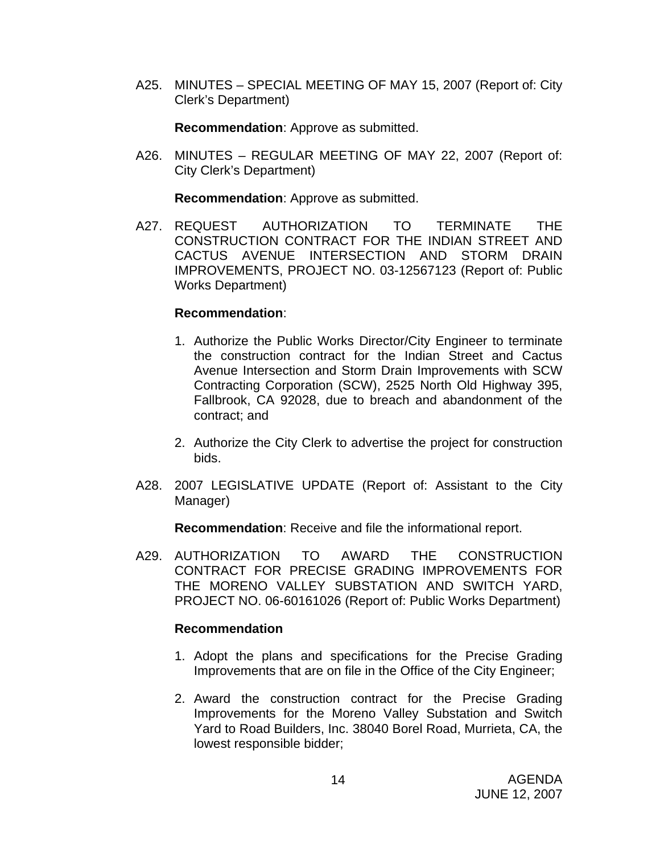A25. MINUTES – SPECIAL MEETING OF MAY 15, 2007 (Report of: City Clerk's Department)

**Recommendation**: Approve as submitted.

A26. MINUTES – REGULAR MEETING OF MAY 22, 2007 (Report of: City Clerk's Department)

**Recommendation**: Approve as submitted.

A27. REQUEST AUTHORIZATION TO TERMINATE THE CONSTRUCTION CONTRACT FOR THE INDIAN STREET AND CACTUS AVENUE INTERSECTION AND STORM DRAIN IMPROVEMENTS, PROJECT NO. 03-12567123 (Report of: Public Works Department)

#### **Recommendation**:

- 1. Authorize the Public Works Director/City Engineer to terminate the construction contract for the Indian Street and Cactus Avenue Intersection and Storm Drain Improvements with SCW Contracting Corporation (SCW), 2525 North Old Highway 395, Fallbrook, CA 92028, due to breach and abandonment of the contract; and
- 2. Authorize the City Clerk to advertise the project for construction bids.
- A28. 2007 LEGISLATIVE UPDATE (Report of: Assistant to the City Manager)

**Recommendation**: Receive and file the informational report.

A29. AUTHORIZATION TO AWARD THE CONSTRUCTION CONTRACT FOR PRECISE GRADING IMPROVEMENTS FOR THE MORENO VALLEY SUBSTATION AND SWITCH YARD, PROJECT NO. 06-60161026 (Report of: Public Works Department)

- 1. Adopt the plans and specifications for the Precise Grading Improvements that are on file in the Office of the City Engineer;
- 2. Award the construction contract for the Precise Grading Improvements for the Moreno Valley Substation and Switch Yard to Road Builders, Inc. 38040 Borel Road, Murrieta, CA, the lowest responsible bidder;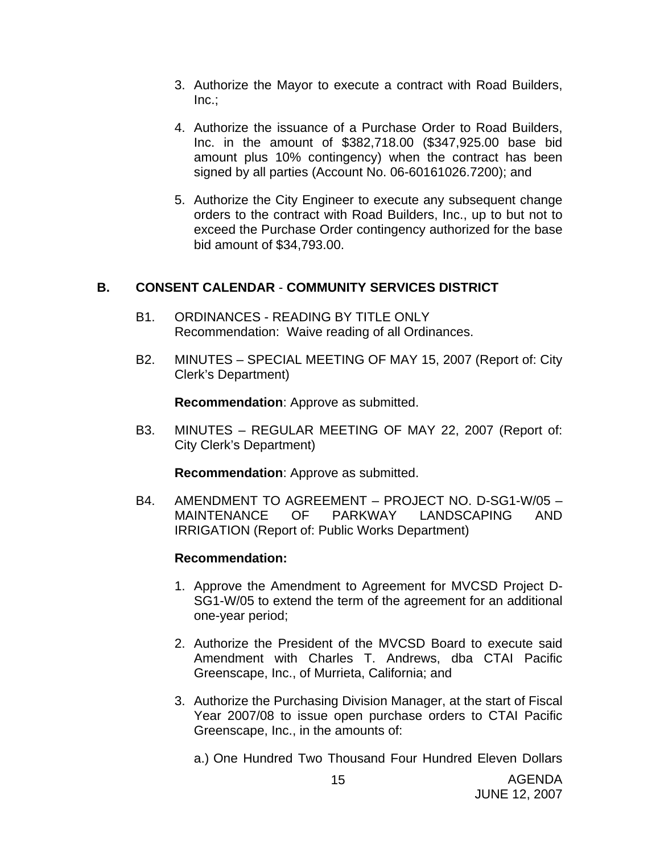- 3. Authorize the Mayor to execute a contract with Road Builders, Inc.;
- 4. Authorize the issuance of a Purchase Order to Road Builders, Inc. in the amount of \$382,718.00 (\$347,925.00 base bid amount plus 10% contingency) when the contract has been signed by all parties (Account No. 06-60161026.7200); and
- 5. Authorize the City Engineer to execute any subsequent change orders to the contract with Road Builders, Inc., up to but not to exceed the Purchase Order contingency authorized for the base bid amount of \$34,793.00.

## **B. CONSENT CALENDAR** - **COMMUNITY SERVICES DISTRICT**

- B1. ORDINANCES READING BY TITLE ONLY Recommendation: Waive reading of all Ordinances.
- B2. MINUTES SPECIAL MEETING OF MAY 15, 2007 (Report of: City Clerk's Department)

**Recommendation**: Approve as submitted.

B3. MINUTES – REGULAR MEETING OF MAY 22, 2007 (Report of: City Clerk's Department)

**Recommendation**: Approve as submitted.

B4. AMENDMENT TO AGREEMENT – PROJECT NO. D-SG1-W/05 – MAINTENANCE OF PARKWAY LANDSCAPING AND IRRIGATION (Report of: Public Works Department)

## **Recommendation:**

- 1. Approve the Amendment to Agreement for MVCSD Project D-SG1-W/05 to extend the term of the agreement for an additional one-year period;
- 2. Authorize the President of the MVCSD Board to execute said Amendment with Charles T. Andrews, dba CTAI Pacific Greenscape, Inc., of Murrieta, California; and
- 3. Authorize the Purchasing Division Manager, at the start of Fiscal Year 2007/08 to issue open purchase orders to CTAI Pacific Greenscape, Inc., in the amounts of:

a.) One Hundred Two Thousand Four Hundred Eleven Dollars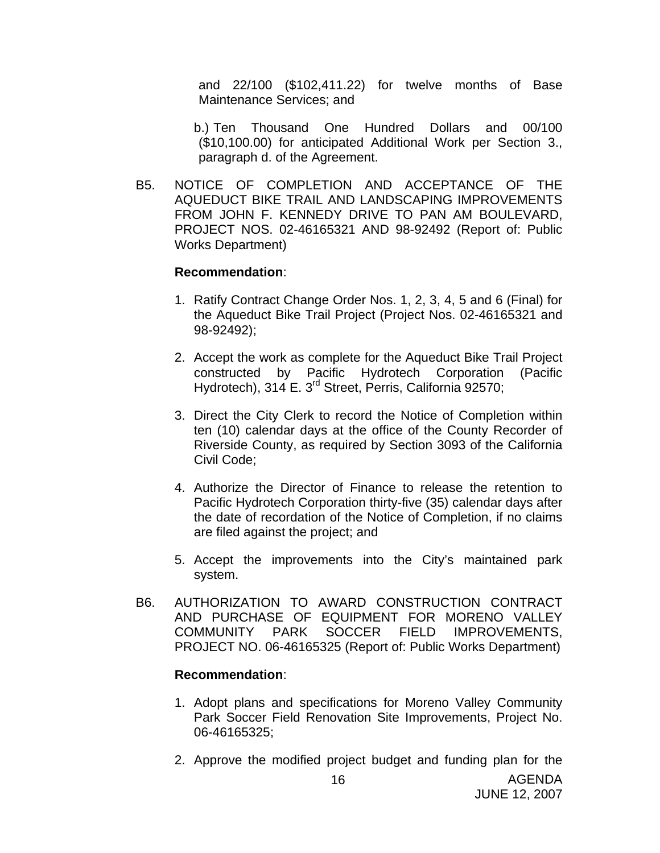and 22/100 (\$102,411.22) for twelve months of Base Maintenance Services; and

 b.) Ten Thousand One Hundred Dollars and 00/100 (\$10,100.00) for anticipated Additional Work per Section 3., paragraph d. of the Agreement.

B5. NOTICE OF COMPLETION AND ACCEPTANCE OF THE AQUEDUCT BIKE TRAIL AND LANDSCAPING IMPROVEMENTS FROM JOHN F. KENNEDY DRIVE TO PAN AM BOULEVARD, PROJECT NOS. 02-46165321 AND 98-92492 (Report of: Public Works Department)

#### **Recommendation**:

- 1. Ratify Contract Change Order Nos. 1, 2, 3, 4, 5 and 6 (Final) for the Aqueduct Bike Trail Project (Project Nos. 02-46165321 and 98-92492);
- 2. Accept the work as complete for the Aqueduct Bike Trail Project constructed by Pacific Hydrotech Corporation (Pacific Hydrotech), 314 E. 3<sup>rd</sup> Street, Perris, California 92570;
- 3. Direct the City Clerk to record the Notice of Completion within ten (10) calendar days at the office of the County Recorder of Riverside County, as required by Section 3093 of the California Civil Code;
- 4. Authorize the Director of Finance to release the retention to Pacific Hydrotech Corporation thirty-five (35) calendar days after the date of recordation of the Notice of Completion, if no claims are filed against the project; and
- 5. Accept the improvements into the City's maintained park system.
- B6. AUTHORIZATION TO AWARD CONSTRUCTION CONTRACT AND PURCHASE OF EQUIPMENT FOR MORENO VALLEY COMMUNITY PARK SOCCER FIELD IMPROVEMENTS, PROJECT NO. 06-46165325 (Report of: Public Works Department)

- 1. Adopt plans and specifications for Moreno Valley Community Park Soccer Field Renovation Site Improvements, Project No. 06-46165325;
- 2. Approve the modified project budget and funding plan for the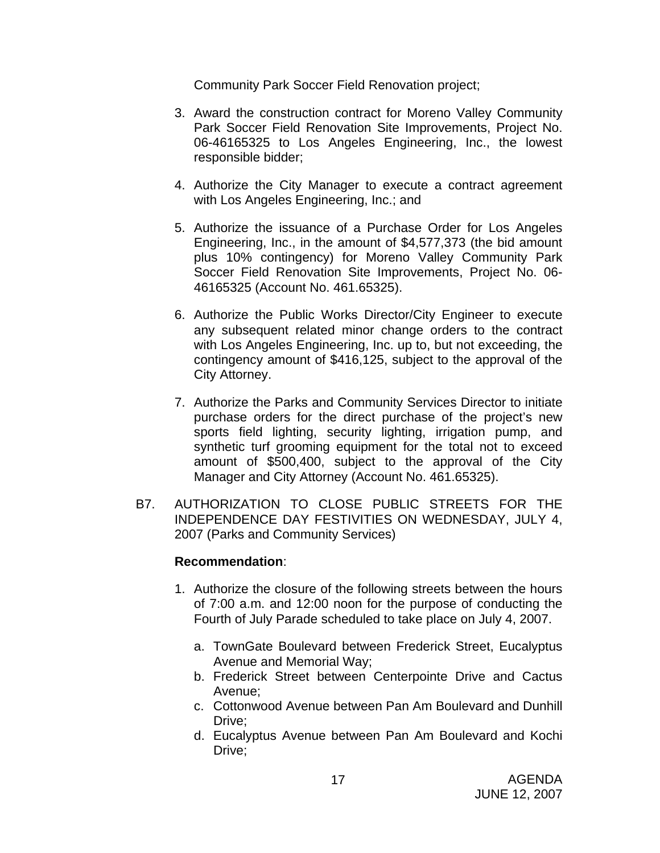Community Park Soccer Field Renovation project;

- 3. Award the construction contract for Moreno Valley Community Park Soccer Field Renovation Site Improvements, Project No. 06-46165325 to Los Angeles Engineering, Inc., the lowest responsible bidder;
- 4. Authorize the City Manager to execute a contract agreement with Los Angeles Engineering, Inc.; and
- 5. Authorize the issuance of a Purchase Order for Los Angeles Engineering, Inc., in the amount of \$4,577,373 (the bid amount plus 10% contingency) for Moreno Valley Community Park Soccer Field Renovation Site Improvements, Project No. 06- 46165325 (Account No. 461.65325).
- 6. Authorize the Public Works Director/City Engineer to execute any subsequent related minor change orders to the contract with Los Angeles Engineering, Inc. up to, but not exceeding, the contingency amount of \$416,125, subject to the approval of the City Attorney.
- 7. Authorize the Parks and Community Services Director to initiate purchase orders for the direct purchase of the project's new sports field lighting, security lighting, irrigation pump, and synthetic turf grooming equipment for the total not to exceed amount of \$500,400, subject to the approval of the City Manager and City Attorney (Account No. 461.65325).
- B7. AUTHORIZATION TO CLOSE PUBLIC STREETS FOR THE INDEPENDENCE DAY FESTIVITIES ON WEDNESDAY, JULY 4, 2007 (Parks and Community Services)

- 1. Authorize the closure of the following streets between the hours of 7:00 a.m. and 12:00 noon for the purpose of conducting the Fourth of July Parade scheduled to take place on July 4, 2007.
	- a. TownGate Boulevard between Frederick Street, Eucalyptus Avenue and Memorial Way;
	- b. Frederick Street between Centerpointe Drive and Cactus Avenue;
	- c. Cottonwood Avenue between Pan Am Boulevard and Dunhill Drive:
	- d. Eucalyptus Avenue between Pan Am Boulevard and Kochi Drive;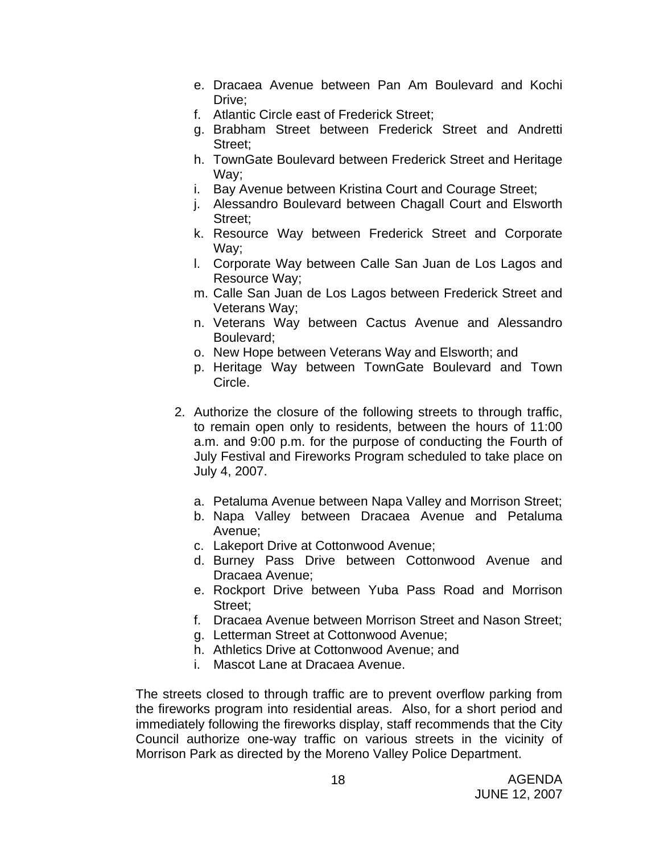- e. Dracaea Avenue between Pan Am Boulevard and Kochi Drive;
- f. Atlantic Circle east of Frederick Street;
- g. Brabham Street between Frederick Street and Andretti Street:
- h. TownGate Boulevard between Frederick Street and Heritage Way;
- i. Bay Avenue between Kristina Court and Courage Street;
- j. Alessandro Boulevard between Chagall Court and Elsworth Street;
- k. Resource Way between Frederick Street and Corporate Way;
- l. Corporate Way between Calle San Juan de Los Lagos and Resource Way;
- m. Calle San Juan de Los Lagos between Frederick Street and Veterans Way;
- n. Veterans Way between Cactus Avenue and Alessandro Boulevard;
- o. New Hope between Veterans Way and Elsworth; and
- p. Heritage Way between TownGate Boulevard and Town Circle.
- 2. Authorize the closure of the following streets to through traffic, to remain open only to residents, between the hours of 11:00 a.m. and 9:00 p.m. for the purpose of conducting the Fourth of July Festival and Fireworks Program scheduled to take place on July 4, 2007.
	- a. Petaluma Avenue between Napa Valley and Morrison Street;
	- b. Napa Valley between Dracaea Avenue and Petaluma Avenue;
	- c. Lakeport Drive at Cottonwood Avenue;
	- d. Burney Pass Drive between Cottonwood Avenue and Dracaea Avenue;
	- e. Rockport Drive between Yuba Pass Road and Morrison Street;
	- f. Dracaea Avenue between Morrison Street and Nason Street;
	- g. Letterman Street at Cottonwood Avenue;
	- h. Athletics Drive at Cottonwood Avenue; and
	- i. Mascot Lane at Dracaea Avenue.

The streets closed to through traffic are to prevent overflow parking from the fireworks program into residential areas. Also, for a short period and immediately following the fireworks display, staff recommends that the City Council authorize one-way traffic on various streets in the vicinity of Morrison Park as directed by the Moreno Valley Police Department.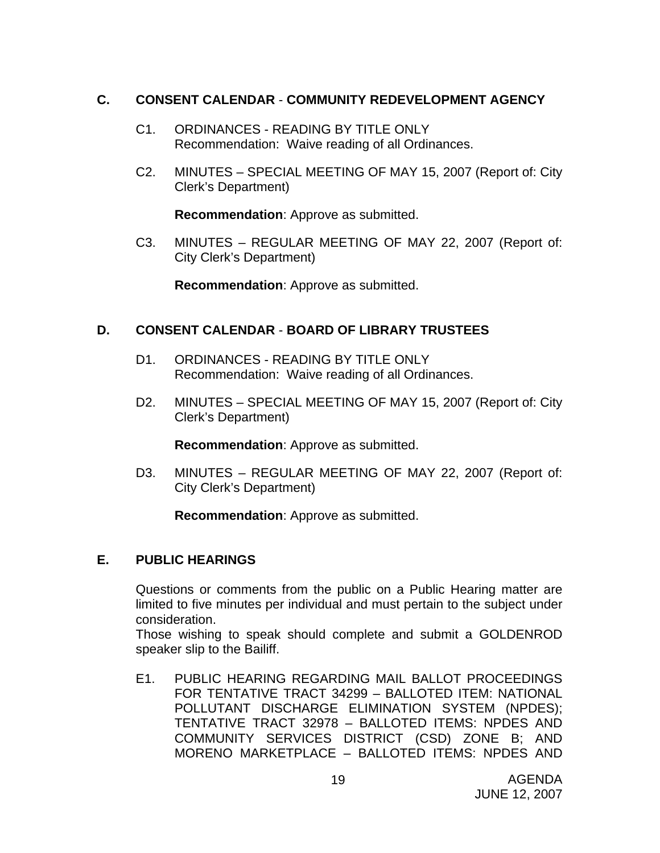## **C. CONSENT CALENDAR** - **COMMUNITY REDEVELOPMENT AGENCY**

- C1. ORDINANCES READING BY TITLE ONLY Recommendation: Waive reading of all Ordinances.
- C2. MINUTES SPECIAL MEETING OF MAY 15, 2007 (Report of: City Clerk's Department)

**Recommendation**: Approve as submitted.

C3. MINUTES – REGULAR MEETING OF MAY 22, 2007 (Report of: City Clerk's Department)

**Recommendation**: Approve as submitted.

## **D. CONSENT CALENDAR** - **BOARD OF LIBRARY TRUSTEES**

- D1. ORDINANCES READING BY TITLE ONLY Recommendation: Waive reading of all Ordinances.
- D2. MINUTES SPECIAL MEETING OF MAY 15, 2007 (Report of: City Clerk's Department)

**Recommendation**: Approve as submitted.

D3. MINUTES – REGULAR MEETING OF MAY 22, 2007 (Report of: City Clerk's Department)

**Recommendation**: Approve as submitted.

## **E. PUBLIC HEARINGS**

Questions or comments from the public on a Public Hearing matter are limited to five minutes per individual and must pertain to the subject under consideration.

 Those wishing to speak should complete and submit a GOLDENROD speaker slip to the Bailiff.

E1. PUBLIC HEARING REGARDING MAIL BALLOT PROCEEDINGS FOR TENTATIVE TRACT 34299 – BALLOTED ITEM: NATIONAL POLLUTANT DISCHARGE ELIMINATION SYSTEM (NPDES); TENTATIVE TRACT 32978 – BALLOTED ITEMS: NPDES AND COMMUNITY SERVICES DISTRICT (CSD) ZONE B; AND MORENO MARKETPLACE – BALLOTED ITEMS: NPDES AND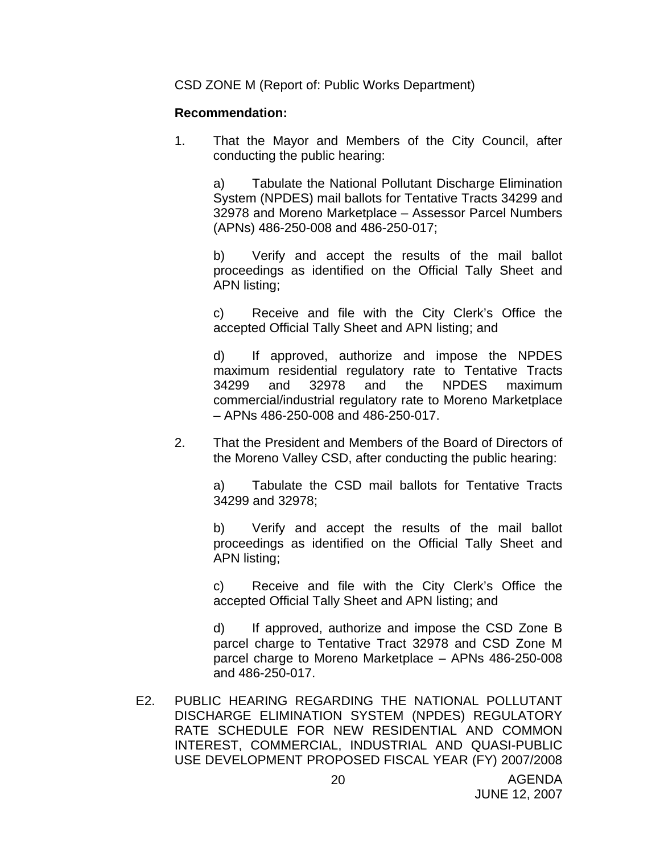CSD ZONE M (Report of: Public Works Department)

#### **Recommendation:**

1. That the Mayor and Members of the City Council, after conducting the public hearing:

 a) Tabulate the National Pollutant Discharge Elimination System (NPDES) mail ballots for Tentative Tracts 34299 and 32978 and Moreno Marketplace – Assessor Parcel Numbers (APNs) 486-250-008 and 486-250-017;

 b) Verify and accept the results of the mail ballot proceedings as identified on the Official Tally Sheet and APN listing;

 c) Receive and file with the City Clerk's Office the accepted Official Tally Sheet and APN listing; and

 d) If approved, authorize and impose the NPDES maximum residential regulatory rate to Tentative Tracts 34299 and 32978 and the NPDES maximum commercial/industrial regulatory rate to Moreno Marketplace – APNs 486-250-008 and 486-250-017.

2. That the President and Members of the Board of Directors of the Moreno Valley CSD, after conducting the public hearing:

> a) Tabulate the CSD mail ballots for Tentative Tracts 34299 and 32978;

> b) Verify and accept the results of the mail ballot proceedings as identified on the Official Tally Sheet and APN listing;

> c) Receive and file with the City Clerk's Office the accepted Official Tally Sheet and APN listing; and

> d) If approved, authorize and impose the CSD Zone B parcel charge to Tentative Tract 32978 and CSD Zone M parcel charge to Moreno Marketplace – APNs 486-250-008 and 486-250-017.

E2. PUBLIC HEARING REGARDING THE NATIONAL POLLUTANT DISCHARGE ELIMINATION SYSTEM (NPDES) REGULATORY RATE SCHEDULE FOR NEW RESIDENTIAL AND COMMON INTEREST, COMMERCIAL, INDUSTRIAL AND QUASI-PUBLIC USE DEVELOPMENT PROPOSED FISCAL YEAR (FY) 2007/2008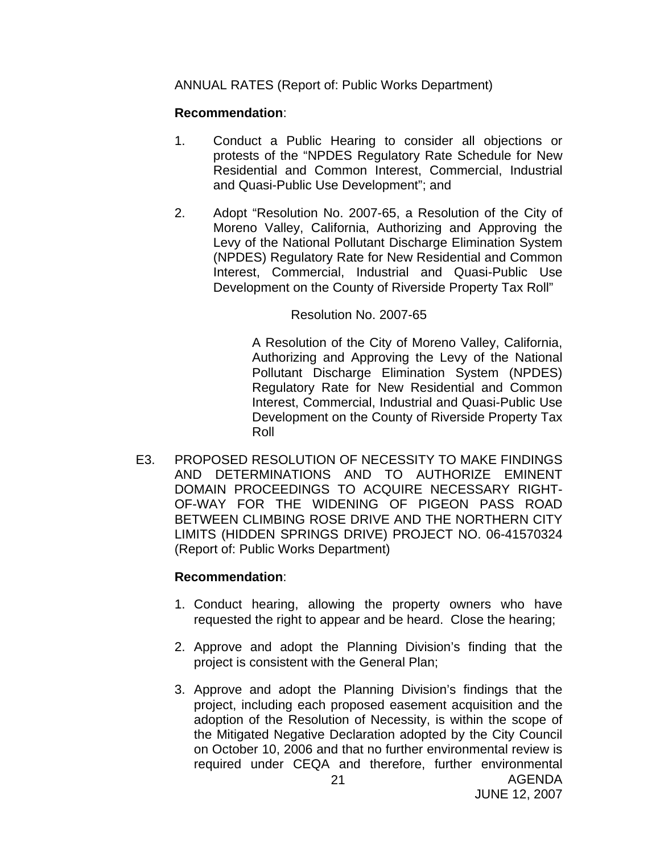ANNUAL RATES (Report of: Public Works Department)

#### **Recommendation**:

- 1. Conduct a Public Hearing to consider all objections or protests of the "NPDES Regulatory Rate Schedule for New Residential and Common Interest, Commercial, Industrial and Quasi-Public Use Development"; and
- 2. Adopt "Resolution No. 2007-65, a Resolution of the City of Moreno Valley, California, Authorizing and Approving the Levy of the National Pollutant Discharge Elimination System (NPDES) Regulatory Rate for New Residential and Common Interest, Commercial, Industrial and Quasi-Public Use Development on the County of Riverside Property Tax Roll"

#### Resolution No. 2007-65

 A Resolution of the City of Moreno Valley, California, Authorizing and Approving the Levy of the National Pollutant Discharge Elimination System (NPDES) Regulatory Rate for New Residential and Common Interest, Commercial, Industrial and Quasi-Public Use Development on the County of Riverside Property Tax Roll

E3. PROPOSED RESOLUTION OF NECESSITY TO MAKE FINDINGS AND DETERMINATIONS AND TO AUTHORIZE EMINENT DOMAIN PROCEEDINGS TO ACQUIRE NECESSARY RIGHT-OF-WAY FOR THE WIDENING OF PIGEON PASS ROAD BETWEEN CLIMBING ROSE DRIVE AND THE NORTHERN CITY LIMITS (HIDDEN SPRINGS DRIVE) PROJECT NO. 06-41570324 (Report of: Public Works Department)

- 1. Conduct hearing, allowing the property owners who have requested the right to appear and be heard. Close the hearing;
- 2. Approve and adopt the Planning Division's finding that the project is consistent with the General Plan;
- AGENDA 21 3. Approve and adopt the Planning Division's findings that the project, including each proposed easement acquisition and the adoption of the Resolution of Necessity, is within the scope of the Mitigated Negative Declaration adopted by the City Council on October 10, 2006 and that no further environmental review is required under CEQA and therefore, further environmental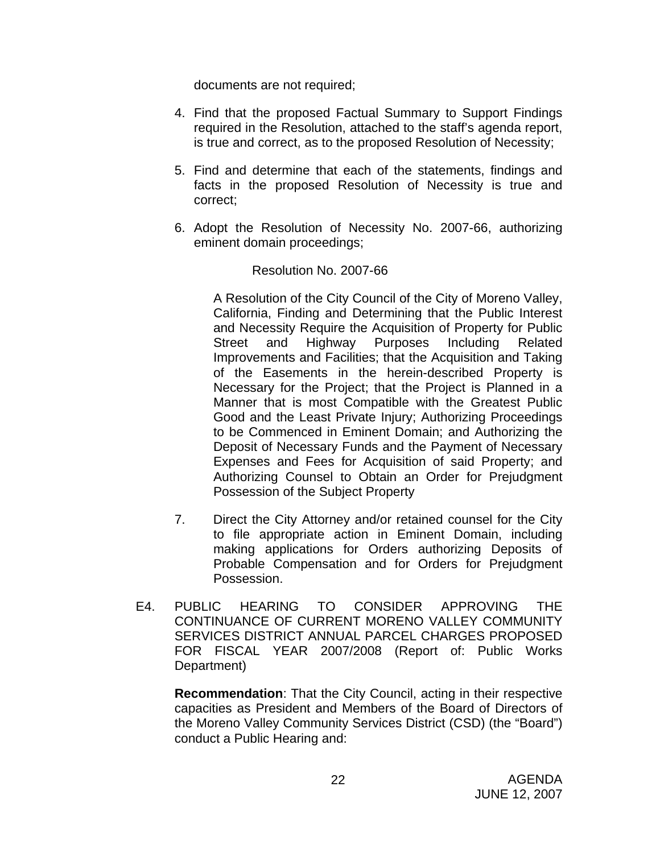documents are not required;

- 4. Find that the proposed Factual Summary to Support Findings required in the Resolution, attached to the staff's agenda report, is true and correct, as to the proposed Resolution of Necessity;
- 5. Find and determine that each of the statements, findings and facts in the proposed Resolution of Necessity is true and correct;
- 6. Adopt the Resolution of Necessity No. 2007-66, authorizing eminent domain proceedings;

## Resolution No. 2007-66

 A Resolution of the City Council of the City of Moreno Valley, California, Finding and Determining that the Public Interest and Necessity Require the Acquisition of Property for Public Street and Highway Purposes Including Related Improvements and Facilities; that the Acquisition and Taking of the Easements in the herein-described Property is Necessary for the Project; that the Project is Planned in a Manner that is most Compatible with the Greatest Public Good and the Least Private Injury; Authorizing Proceedings to be Commenced in Eminent Domain; and Authorizing the Deposit of Necessary Funds and the Payment of Necessary Expenses and Fees for Acquisition of said Property; and Authorizing Counsel to Obtain an Order for Prejudgment Possession of the Subject Property

- 7. Direct the City Attorney and/or retained counsel for the City to file appropriate action in Eminent Domain, including making applications for Orders authorizing Deposits of Probable Compensation and for Orders for Prejudgment Possession.
- E4. PUBLIC HEARING TO CONSIDER APPROVING THE CONTINUANCE OF CURRENT MORENO VALLEY COMMUNITY SERVICES DISTRICT ANNUAL PARCEL CHARGES PROPOSED FOR FISCAL YEAR 2007/2008 (Report of: Public Works Department)

**Recommendation**: That the City Council, acting in their respective capacities as President and Members of the Board of Directors of the Moreno Valley Community Services District (CSD) (the "Board") conduct a Public Hearing and: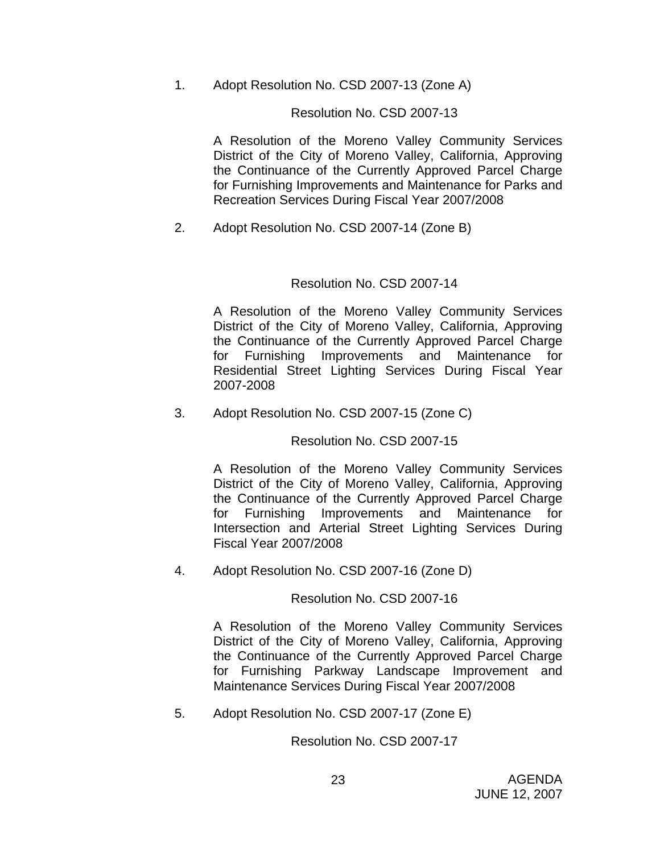1. Adopt Resolution No. CSD 2007-13 (Zone A)

## Resolution No. CSD 2007-13

 A Resolution of the Moreno Valley Community Services District of the City of Moreno Valley, California, Approving the Continuance of the Currently Approved Parcel Charge for Furnishing Improvements and Maintenance for Parks and Recreation Services During Fiscal Year 2007/2008

2. Adopt Resolution No. CSD 2007-14 (Zone B)

## Resolution No. CSD 2007-14

 A Resolution of the Moreno Valley Community Services District of the City of Moreno Valley, California, Approving the Continuance of the Currently Approved Parcel Charge for Furnishing Improvements and Maintenance for Residential Street Lighting Services During Fiscal Year 2007-2008

3. Adopt Resolution No. CSD 2007-15 (Zone C)

Resolution No. CSD 2007-15

 A Resolution of the Moreno Valley Community Services District of the City of Moreno Valley, California, Approving the Continuance of the Currently Approved Parcel Charge for Furnishing Improvements and Maintenance for Intersection and Arterial Street Lighting Services During Fiscal Year 2007/2008

4. Adopt Resolution No. CSD 2007-16 (Zone D)

Resolution No. CSD 2007-16

 A Resolution of the Moreno Valley Community Services District of the City of Moreno Valley, California, Approving the Continuance of the Currently Approved Parcel Charge for Furnishing Parkway Landscape Improvement and Maintenance Services During Fiscal Year 2007/2008

5. Adopt Resolution No. CSD 2007-17 (Zone E)

Resolution No. CSD 2007-17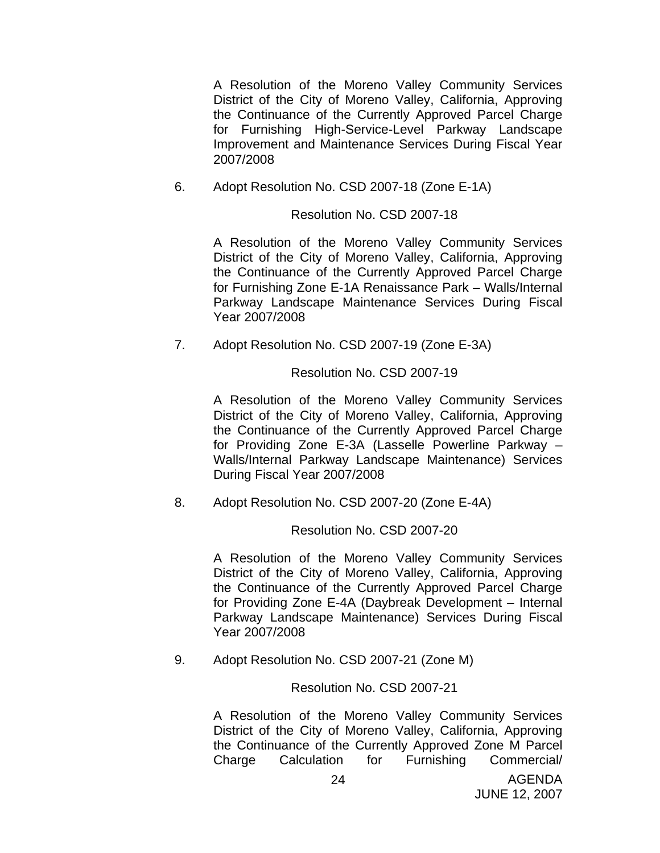A Resolution of the Moreno Valley Community Services District of the City of Moreno Valley, California, Approving the Continuance of the Currently Approved Parcel Charge for Furnishing High-Service-Level Parkway Landscape Improvement and Maintenance Services During Fiscal Year 2007/2008

6. Adopt Resolution No. CSD 2007-18 (Zone E-1A)

## Resolution No. CSD 2007-18

 A Resolution of the Moreno Valley Community Services District of the City of Moreno Valley, California, Approving the Continuance of the Currently Approved Parcel Charge for Furnishing Zone E-1A Renaissance Park – Walls/Internal Parkway Landscape Maintenance Services During Fiscal Year 2007/2008

7. Adopt Resolution No. CSD 2007-19 (Zone E-3A)

## Resolution No. CSD 2007-19

 A Resolution of the Moreno Valley Community Services District of the City of Moreno Valley, California, Approving the Continuance of the Currently Approved Parcel Charge for Providing Zone E-3A (Lasselle Powerline Parkway – Walls/Internal Parkway Landscape Maintenance) Services During Fiscal Year 2007/2008

8. Adopt Resolution No. CSD 2007-20 (Zone E-4A)

Resolution No. CSD 2007-20

 A Resolution of the Moreno Valley Community Services District of the City of Moreno Valley, California, Approving the Continuance of the Currently Approved Parcel Charge for Providing Zone E-4A (Daybreak Development – Internal Parkway Landscape Maintenance) Services During Fiscal Year 2007/2008

9. Adopt Resolution No. CSD 2007-21 (Zone M)

## Resolution No. CSD 2007-21

 A Resolution of the Moreno Valley Community Services District of the City of Moreno Valley, California, Approving the Continuance of the Currently Approved Zone M Parcel Charge Calculation for Furnishing Commercial/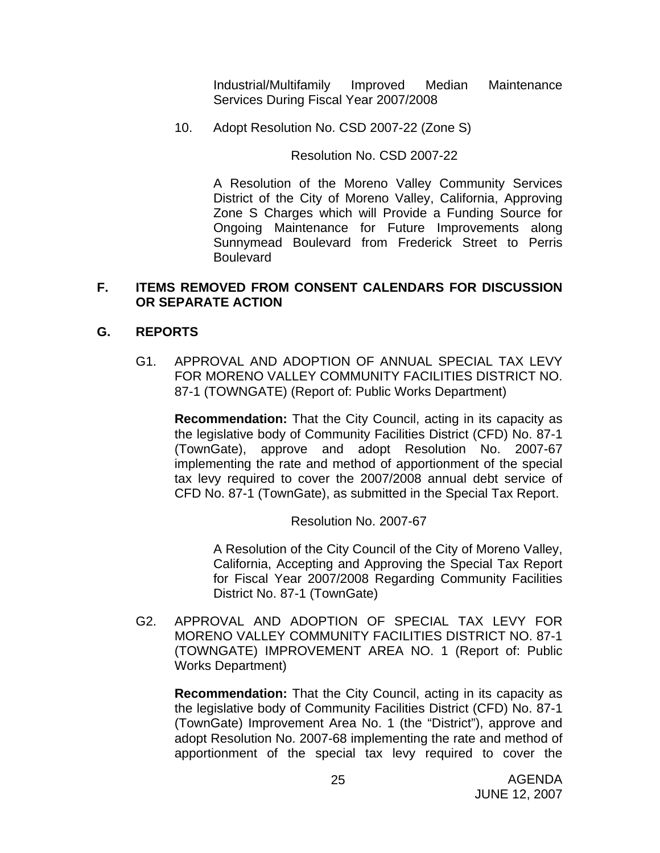Industrial/Multifamily Improved Median Maintenance Services During Fiscal Year 2007/2008

10. Adopt Resolution No. CSD 2007-22 (Zone S)

Resolution No. CSD 2007-22

 A Resolution of the Moreno Valley Community Services District of the City of Moreno Valley, California, Approving Zone S Charges which will Provide a Funding Source for Ongoing Maintenance for Future Improvements along Sunnymead Boulevard from Frederick Street to Perris **Boulevard** 

## **F. ITEMS REMOVED FROM CONSENT CALENDARS FOR DISCUSSION OR SEPARATE ACTION**

## **G. REPORTS**

G1. APPROVAL AND ADOPTION OF ANNUAL SPECIAL TAX LEVY FOR MORENO VALLEY COMMUNITY FACILITIES DISTRICT NO. 87-1 (TOWNGATE) (Report of: Public Works Department)

**Recommendation:** That the City Council, acting in its capacity as the legislative body of Community Facilities District (CFD) No. 87-1 (TownGate), approve and adopt Resolution No. 2007-67 implementing the rate and method of apportionment of the special tax levy required to cover the 2007/2008 annual debt service of CFD No. 87-1 (TownGate), as submitted in the Special Tax Report.

Resolution No. 2007-67

A Resolution of the City Council of the City of Moreno Valley, California, Accepting and Approving the Special Tax Report for Fiscal Year 2007/2008 Regarding Community Facilities District No. 87-1 (TownGate)

G2. APPROVAL AND ADOPTION OF SPECIAL TAX LEVY FOR MORENO VALLEY COMMUNITY FACILITIES DISTRICT NO. 87-1 (TOWNGATE) IMPROVEMENT AREA NO. 1 (Report of: Public Works Department)

**Recommendation:** That the City Council, acting in its capacity as the legislative body of Community Facilities District (CFD) No. 87-1 (TownGate) Improvement Area No. 1 (the "District"), approve and adopt Resolution No. 2007-68 implementing the rate and method of apportionment of the special tax levy required to cover the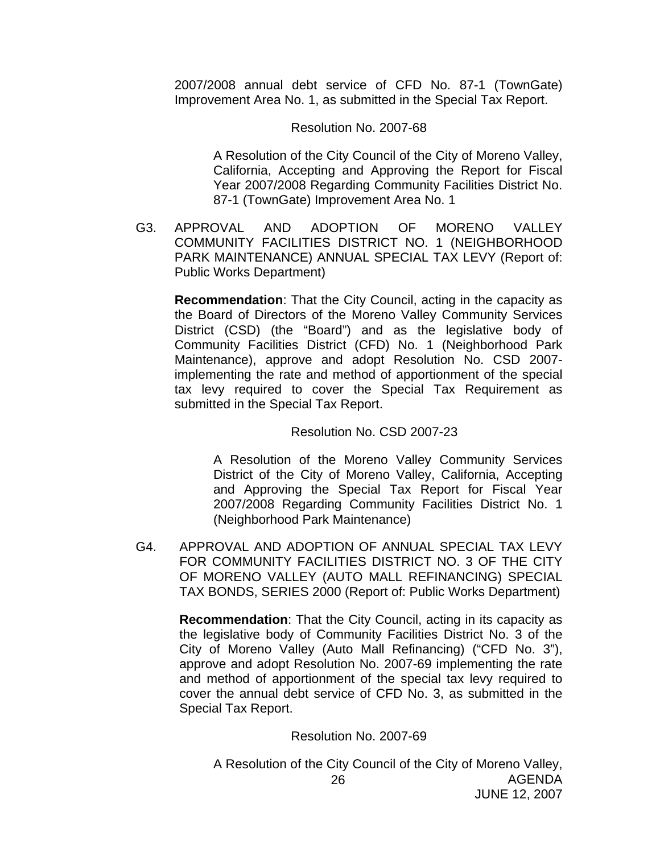2007/2008 annual debt service of CFD No. 87-1 (TownGate) Improvement Area No. 1, as submitted in the Special Tax Report.

#### Resolution No. 2007-68

A Resolution of the City Council of the City of Moreno Valley, California, Accepting and Approving the Report for Fiscal Year 2007/2008 Regarding Community Facilities District No. 87-1 (TownGate) Improvement Area No. 1

G3. APPROVAL AND ADOPTION OF MORENO VALLEY COMMUNITY FACILITIES DISTRICT NO. 1 (NEIGHBORHOOD PARK MAINTENANCE) ANNUAL SPECIAL TAX LEVY (Report of: Public Works Department)

**Recommendation**: That the City Council, acting in the capacity as the Board of Directors of the Moreno Valley Community Services District (CSD) (the "Board") and as the legislative body of Community Facilities District (CFD) No. 1 (Neighborhood Park Maintenance), approve and adopt Resolution No. CSD 2007 implementing the rate and method of apportionment of the special tax levy required to cover the Special Tax Requirement as submitted in the Special Tax Report.

## Resolution No. CSD 2007-23

 A Resolution of the Moreno Valley Community Services District of the City of Moreno Valley, California, Accepting and Approving the Special Tax Report for Fiscal Year 2007/2008 Regarding Community Facilities District No. 1 (Neighborhood Park Maintenance)

G4. APPROVAL AND ADOPTION OF ANNUAL SPECIAL TAX LEVY FOR COMMUNITY FACILITIES DISTRICT NO. 3 OF THE CITY OF MORENO VALLEY (AUTO MALL REFINANCING) SPECIAL TAX BONDS, SERIES 2000 (Report of: Public Works Department)

**Recommendation**: That the City Council, acting in its capacity as the legislative body of Community Facilities District No. 3 of the City of Moreno Valley (Auto Mall Refinancing) ("CFD No. 3"), approve and adopt Resolution No. 2007-69 implementing the rate and method of apportionment of the special tax levy required to cover the annual debt service of CFD No. 3, as submitted in the Special Tax Report.

## Resolution No. 2007-69

AGENDA JUNE 12, 2007 26 A Resolution of the City Council of the City of Moreno Valley,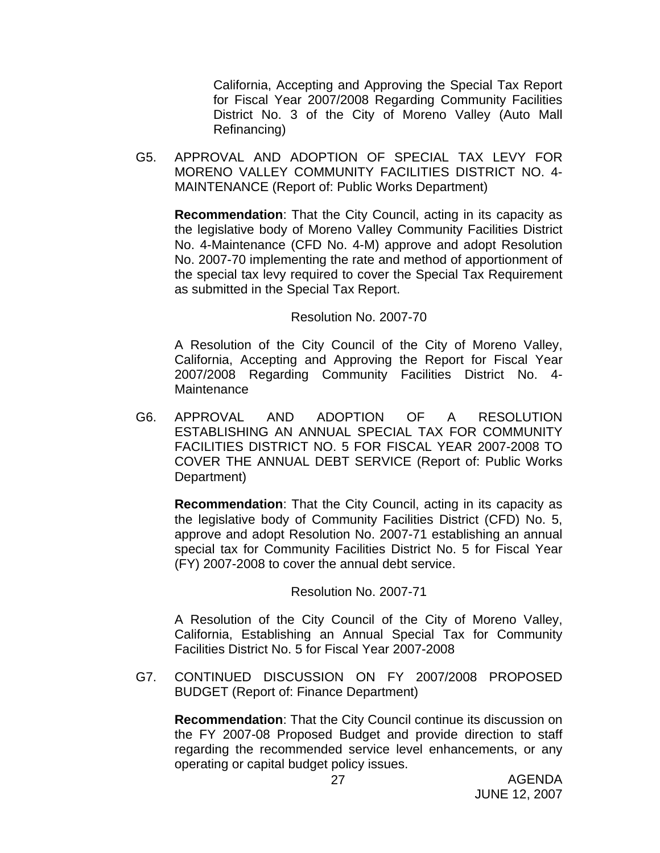California, Accepting and Approving the Special Tax Report for Fiscal Year 2007/2008 Regarding Community Facilities District No. 3 of the City of Moreno Valley (Auto Mall Refinancing)

G5. APPROVAL AND ADOPTION OF SPECIAL TAX LEVY FOR MORENO VALLEY COMMUNITY FACILITIES DISTRICT NO. 4- MAINTENANCE (Report of: Public Works Department)

**Recommendation**: That the City Council, acting in its capacity as the legislative body of Moreno Valley Community Facilities District No. 4-Maintenance (CFD No. 4-M) approve and adopt Resolution No. 2007-70 implementing the rate and method of apportionment of the special tax levy required to cover the Special Tax Requirement as submitted in the Special Tax Report.

#### Resolution No. 2007-70

 A Resolution of the City Council of the City of Moreno Valley, California, Accepting and Approving the Report for Fiscal Year 2007/2008 Regarding Community Facilities District No. 4- Maintenance

G6. APPROVAL AND ADOPTION OF A RESOLUTION ESTABLISHING AN ANNUAL SPECIAL TAX FOR COMMUNITY FACILITIES DISTRICT NO. 5 FOR FISCAL YEAR 2007-2008 TO COVER THE ANNUAL DEBT SERVICE (Report of: Public Works Department)

**Recommendation**: That the City Council, acting in its capacity as the legislative body of Community Facilities District (CFD) No. 5, approve and adopt Resolution No. 2007-71 establishing an annual special tax for Community Facilities District No. 5 for Fiscal Year (FY) 2007-2008 to cover the annual debt service.

Resolution No. 2007-71

 A Resolution of the City Council of the City of Moreno Valley, California, Establishing an Annual Special Tax for Community Facilities District No. 5 for Fiscal Year 2007-2008

G7. CONTINUED DISCUSSION ON FY 2007/2008 PROPOSED BUDGET (Report of: Finance Department)

**Recommendation**: That the City Council continue its discussion on the FY 2007-08 Proposed Budget and provide direction to staff regarding the recommended service level enhancements, or any operating or capital budget policy issues.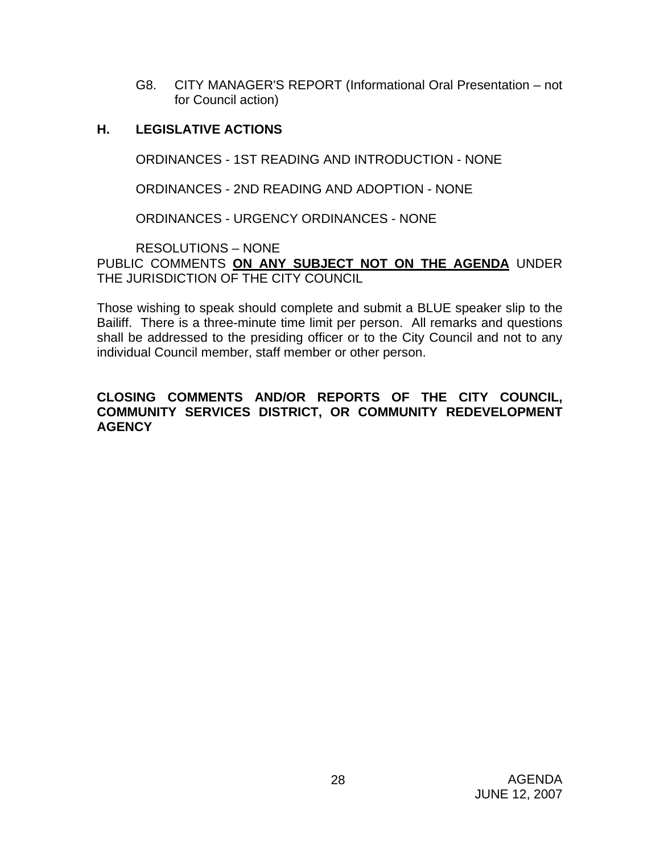G8. CITY MANAGER'S REPORT (Informational Oral Presentation – not for Council action)

## **H. LEGISLATIVE ACTIONS**

ORDINANCES - 1ST READING AND INTRODUCTION - NONE

ORDINANCES - 2ND READING AND ADOPTION - NONE

ORDINANCES - URGENCY ORDINANCES - NONE

RESOLUTIONS – NONE

PUBLIC COMMENTS **ON ANY SUBJECT NOT ON THE AGENDA** UNDER THE JURISDICTION OF THE CITY COUNCIL

Those wishing to speak should complete and submit a BLUE speaker slip to the Bailiff. There is a three-minute time limit per person. All remarks and questions shall be addressed to the presiding officer or to the City Council and not to any individual Council member, staff member or other person.

## **CLOSING COMMENTS AND/OR REPORTS OF THE CITY COUNCIL, COMMUNITY SERVICES DISTRICT, OR COMMUNITY REDEVELOPMENT AGENCY**